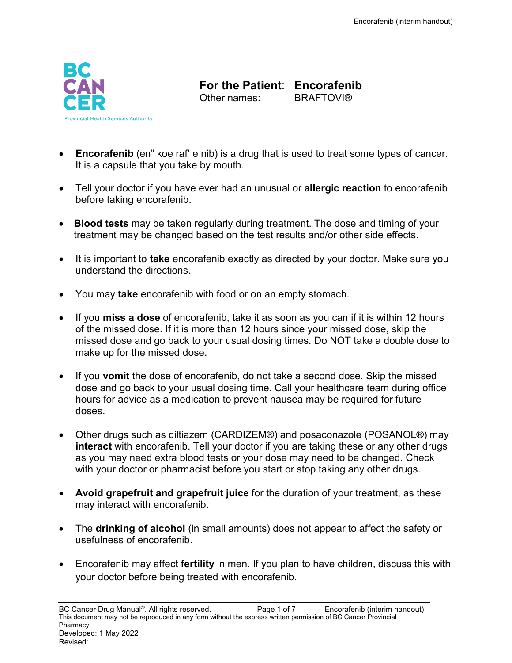

**For the Patient: Encorafenib**<br>Other names: **BRAFTOVI®** Other names:

- **Encorafenib** (en" koe raf' e nib) is a drug that is used to treat some types of cancer. It is a capsule that you take by mouth.
- Tell your doctor if you have ever had an unusual or **allergic reaction** to encorafenib before taking encorafenib.
- **Blood tests** may be taken regularly during treatment. The dose and timing of your treatment may be changed based on the test results and/or other side effects.
- It is important to **take** encorafenib exactly as directed by your doctor. Make sure you understand the directions.
- You may **take** encorafenib with food or on an empty stomach.
- If you **miss a dose** of encorafenib, take it as soon as you can if it is within 12 hours of the missed dose. If it is more than 12 hours since your missed dose, skip the missed dose and go back to your usual dosing times. Do NOT take a double dose to make up for the missed dose.
- If you **vomit** the dose of encorafenib, do not take a second dose. Skip the missed dose and go back to your usual dosing time. Call your healthcare team during office hours for advice as a medication to prevent nausea may be required for future doses.
- Other drugs such as diltiazem (CARDIZEM®) and posaconazole (POSANOL®) may **interact** with encorafenib. Tell your doctor if you are taking these or any other drugs as you may need extra blood tests or your dose may need to be changed. Check with your doctor or pharmacist before you start or stop taking any other drugs.
- **Avoid grapefruit and grapefruit juice** for the duration of your treatment, as these may interact with encorafenib.
- The **drinking of alcohol** (in small amounts) does not appear to affect the safety or usefulness of encorafenib.
- Encorafenib may affect **fertility** in men. If you plan to have children, discuss this with your doctor before being treated with encorafenib.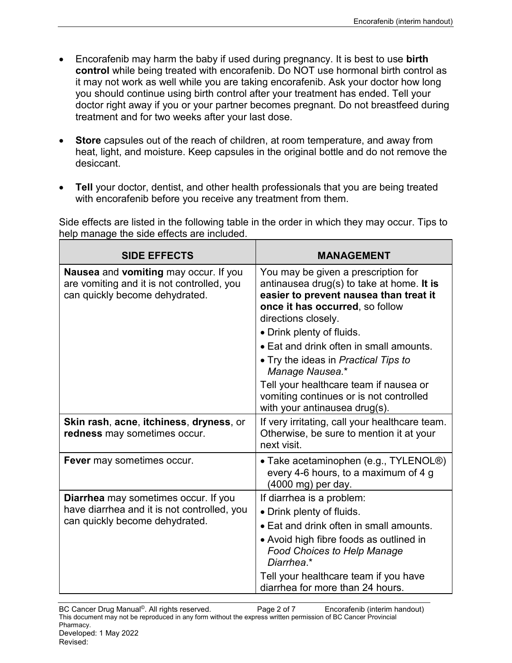- Encorafenib may harm the baby if used during pregnancy. It is best to use **birth control** while being treated with encorafenib. Do NOT use hormonal birth control as it may not work as well while you are taking encorafenib. Ask your doctor how long you should continue using birth control after your treatment has ended. Tell your doctor right away if you or your partner becomes pregnant. Do not breastfeed during treatment and for two weeks after your last dose.
- **Store** capsules out of the reach of children, at room temperature, and away from heat, light, and moisture. Keep capsules in the original bottle and do not remove the desiccant.
- **Tell** your doctor, dentist, and other health professionals that you are being treated with encorafenib before you receive any treatment from them.

Side effects are listed in the following table in the order in which they may occur. Tips to help manage the side effects are included.

| <b>SIDE EFFECTS</b>                                                                                                          | <b>MANAGEMENT</b>                                                                                                                                                                                                                                                                                                                                                                                                                             |
|------------------------------------------------------------------------------------------------------------------------------|-----------------------------------------------------------------------------------------------------------------------------------------------------------------------------------------------------------------------------------------------------------------------------------------------------------------------------------------------------------------------------------------------------------------------------------------------|
| Nausea and vomiting may occur. If you<br>are vomiting and it is not controlled, you<br>can quickly become dehydrated.        | You may be given a prescription for<br>antinausea drug(s) to take at home. It is<br>easier to prevent nausea than treat it<br>once it has occurred, so follow<br>directions closely.<br>• Drink plenty of fluids.<br>• Eat and drink often in small amounts.<br>• Try the ideas in Practical Tips to<br>Manage Nausea.*<br>Tell your healthcare team if nausea or<br>vomiting continues or is not controlled<br>with your antinausea drug(s). |
| Skin rash, acne, itchiness, dryness, or<br>redness may sometimes occur.                                                      | If very irritating, call your healthcare team.<br>Otherwise, be sure to mention it at your<br>next visit.                                                                                                                                                                                                                                                                                                                                     |
| Fever may sometimes occur.                                                                                                   | • Take acetaminophen (e.g., TYLENOL <sup>®</sup> )<br>every 4-6 hours, to a maximum of 4 g<br>(4000 mg) per day.                                                                                                                                                                                                                                                                                                                              |
| <b>Diarrhea</b> may sometimes occur. If you<br>have diarrhea and it is not controlled, you<br>can quickly become dehydrated. | If diarrhea is a problem:<br>• Drink plenty of fluids.<br>• Eat and drink often in small amounts.<br>• Avoid high fibre foods as outlined in<br><b>Food Choices to Help Manage</b><br>Diarrhea.*<br>Tell your healthcare team if you have<br>diarrhea for more than 24 hours.                                                                                                                                                                 |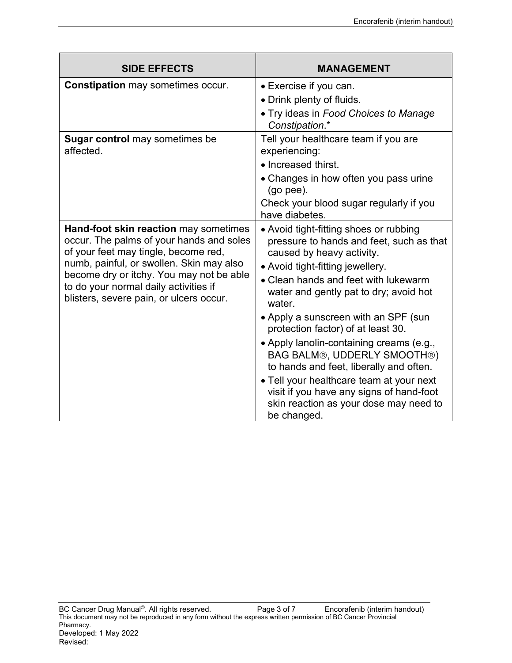| <b>SIDE EFFECTS</b>                                                                                                                                                                                                                                                                                   | <b>MANAGEMENT</b>                                                                                                                                                                                                                                                                       |
|-------------------------------------------------------------------------------------------------------------------------------------------------------------------------------------------------------------------------------------------------------------------------------------------------------|-----------------------------------------------------------------------------------------------------------------------------------------------------------------------------------------------------------------------------------------------------------------------------------------|
| <b>Constipation</b> may sometimes occur.                                                                                                                                                                                                                                                              | • Exercise if you can.                                                                                                                                                                                                                                                                  |
|                                                                                                                                                                                                                                                                                                       | • Drink plenty of fluids.                                                                                                                                                                                                                                                               |
|                                                                                                                                                                                                                                                                                                       | • Try ideas in Food Choices to Manage<br>Constipation.*                                                                                                                                                                                                                                 |
| <b>Sugar control</b> may sometimes be<br>affected.                                                                                                                                                                                                                                                    | Tell your healthcare team if you are<br>experiencing:                                                                                                                                                                                                                                   |
|                                                                                                                                                                                                                                                                                                       | • Increased thirst.                                                                                                                                                                                                                                                                     |
|                                                                                                                                                                                                                                                                                                       | • Changes in how often you pass urine<br>$(go$ pee).                                                                                                                                                                                                                                    |
|                                                                                                                                                                                                                                                                                                       | Check your blood sugar regularly if you<br>have diabetes.                                                                                                                                                                                                                               |
| Hand-foot skin reaction may sometimes<br>occur. The palms of your hands and soles<br>of your feet may tingle, become red,<br>numb, painful, or swollen. Skin may also<br>become dry or itchy. You may not be able<br>to do your normal daily activities if<br>blisters, severe pain, or ulcers occur. | • Avoid tight-fitting shoes or rubbing<br>pressure to hands and feet, such as that<br>caused by heavy activity.<br>• Avoid tight-fitting jewellery.<br>• Clean hands and feet with lukewarm<br>water and gently pat to dry; avoid hot<br>water.<br>• Apply a sunscreen with an SPF (sun |
|                                                                                                                                                                                                                                                                                                       | protection factor) of at least 30.                                                                                                                                                                                                                                                      |
|                                                                                                                                                                                                                                                                                                       | • Apply lanolin-containing creams (e.g.,<br>BAG BALM®, UDDERLY SMOOTH®)<br>to hands and feet, liberally and often.<br>• Tell your healthcare team at your next<br>visit if you have any signs of hand-foot<br>skin reaction as your dose may need to<br>be changed.                     |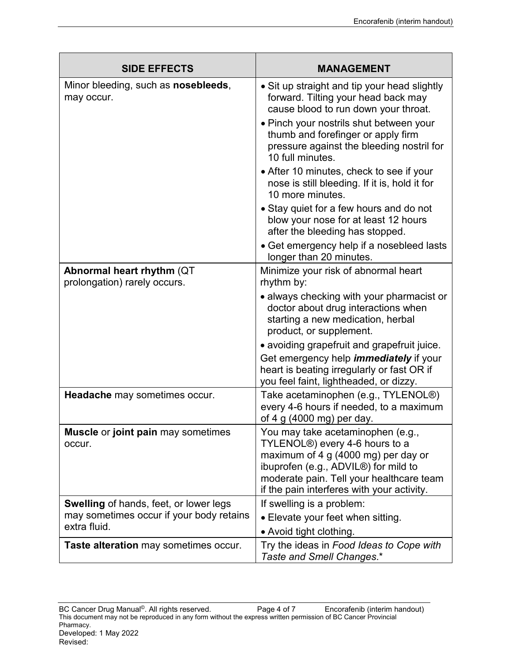| <b>SIDE EFFECTS</b>                                                                                       | <b>MANAGEMENT</b>                                                                                                                                                                                                                                                                                                                                                                                                                                                                                                    |
|-----------------------------------------------------------------------------------------------------------|----------------------------------------------------------------------------------------------------------------------------------------------------------------------------------------------------------------------------------------------------------------------------------------------------------------------------------------------------------------------------------------------------------------------------------------------------------------------------------------------------------------------|
| Minor bleeding, such as <b>nosebleeds</b> ,<br>may occur.                                                 | • Sit up straight and tip your head slightly<br>forward. Tilting your head back may<br>cause blood to run down your throat.<br>• Pinch your nostrils shut between your<br>thumb and forefinger or apply firm<br>pressure against the bleeding nostril for<br>10 full minutes.<br>• After 10 minutes, check to see if your<br>nose is still bleeding. If it is, hold it for<br>10 more minutes.<br>• Stay quiet for a few hours and do not<br>blow your nose for at least 12 hours<br>after the bleeding has stopped. |
|                                                                                                           | • Get emergency help if a nosebleed lasts<br>longer than 20 minutes.                                                                                                                                                                                                                                                                                                                                                                                                                                                 |
| Abnormal heart rhythm (QT)<br>prolongation) rarely occurs.                                                | Minimize your risk of abnormal heart<br>rhythm by:                                                                                                                                                                                                                                                                                                                                                                                                                                                                   |
|                                                                                                           | • always checking with your pharmacist or<br>doctor about drug interactions when<br>starting a new medication, herbal<br>product, or supplement.<br>• avoiding grapefruit and grapefruit juice.<br>Get emergency help <i>immediately</i> if your<br>heart is beating irregularly or fast OR if<br>you feel faint, lightheaded, or dizzy.                                                                                                                                                                             |
| Headache may sometimes occur.                                                                             | Take acetaminophen (e.g., TYLENOL®)<br>every 4-6 hours if needed, to a maximum<br>of 4 g (4000 mg) per day.                                                                                                                                                                                                                                                                                                                                                                                                          |
| <b>Muscle or joint pain may sometimes</b><br>occur.                                                       | You may take acetaminophen (e.g.,<br>TYLENOL <sup>®</sup> ) every 4-6 hours to a<br>maximum of 4 g (4000 mg) per day or<br>ibuprofen (e.g., ADVIL <sup>®</sup> ) for mild to<br>moderate pain. Tell your healthcare team<br>if the pain interferes with your activity.                                                                                                                                                                                                                                               |
| <b>Swelling</b> of hands, feet, or lower legs<br>may sometimes occur if your body retains<br>extra fluid. | If swelling is a problem:<br>• Elevate your feet when sitting.<br>• Avoid tight clothing.                                                                                                                                                                                                                                                                                                                                                                                                                            |
| Taste alteration may sometimes occur.                                                                     | Try the ideas in Food Ideas to Cope with<br>Taste and Smell Changes.*                                                                                                                                                                                                                                                                                                                                                                                                                                                |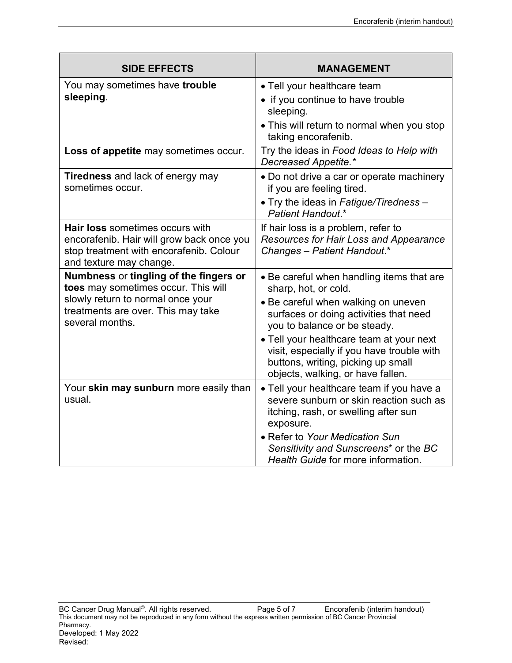| <b>SIDE EFFECTS</b>                                                                                                                                | <b>MANAGEMENT</b>                                                                                                                                                 |
|----------------------------------------------------------------------------------------------------------------------------------------------------|-------------------------------------------------------------------------------------------------------------------------------------------------------------------|
| You may sometimes have trouble                                                                                                                     | • Tell your healthcare team                                                                                                                                       |
| sleeping.                                                                                                                                          | • if you continue to have trouble<br>sleeping.                                                                                                                    |
|                                                                                                                                                    | • This will return to normal when you stop<br>taking encorafenib.                                                                                                 |
| Loss of appetite may sometimes occur.                                                                                                              | Try the ideas in Food Ideas to Help with<br>Decreased Appetite.*                                                                                                  |
| Tiredness and lack of energy may<br>sometimes occur.                                                                                               | • Do not drive a car or operate machinery<br>if you are feeling tired.                                                                                            |
|                                                                                                                                                    | • Try the ideas in Fatigue/Tiredness -<br>Patient Handout.*                                                                                                       |
| Hair loss sometimes occurs with<br>encorafenib. Hair will grow back once you<br>stop treatment with encorafenib. Colour<br>and texture may change. | If hair loss is a problem, refer to<br>Resources for Hair Loss and Appearance<br>Changes - Patient Handout.*                                                      |
| Numbness or tingling of the fingers or<br>toes may sometimes occur. This will<br>slowly return to normal once your                                 | • Be careful when handling items that are<br>sharp, hot, or cold.<br>• Be careful when walking on uneven                                                          |
| treatments are over. This may take<br>several months.                                                                                              | surfaces or doing activities that need<br>you to balance or be steady.                                                                                            |
|                                                                                                                                                    | • Tell your healthcare team at your next<br>visit, especially if you have trouble with<br>buttons, writing, picking up small<br>objects, walking, or have fallen. |
| Your skin may sunburn more easily than<br>usual.                                                                                                   | • Tell your healthcare team if you have a<br>severe sunburn or skin reaction such as<br>itching, rash, or swelling after sun<br>exposure.                         |
|                                                                                                                                                    | • Refer to Your Medication Sun<br>Sensitivity and Sunscreens* or the BC<br>Health Guide for more information.                                                     |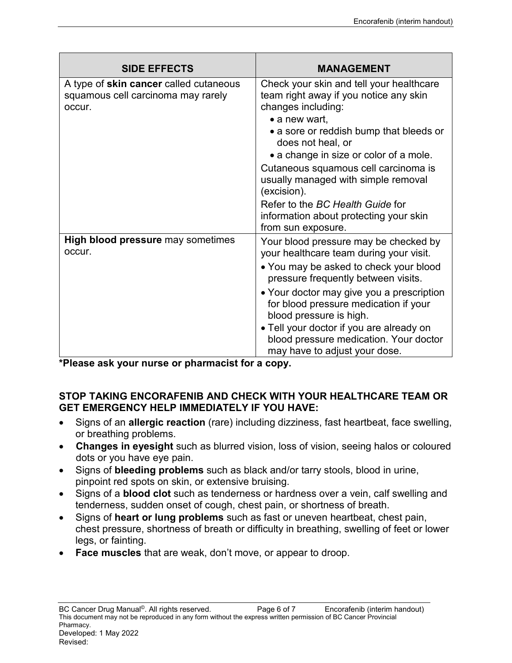| <b>SIDE EFFECTS</b>                                                                           | <b>MANAGEMENT</b>                                                                                                                                                                                                                                                                                                                                                                                               |
|-----------------------------------------------------------------------------------------------|-----------------------------------------------------------------------------------------------------------------------------------------------------------------------------------------------------------------------------------------------------------------------------------------------------------------------------------------------------------------------------------------------------------------|
| A type of <b>skin cancer</b> called cutaneous<br>squamous cell carcinoma may rarely<br>occur. | Check your skin and tell your healthcare<br>team right away if you notice any skin<br>changes including:<br>• a new wart,<br>• a sore or reddish bump that bleeds or<br>does not heal, or<br>• a change in size or color of a mole.<br>Cutaneous squamous cell carcinoma is<br>usually managed with simple removal<br>(excision).<br>Refer to the BC Health Guide for<br>information about protecting your skin |
|                                                                                               | from sun exposure.                                                                                                                                                                                                                                                                                                                                                                                              |
| <b>High blood pressure</b> may sometimes<br>occur.                                            | Your blood pressure may be checked by<br>your healthcare team during your visit.<br>• You may be asked to check your blood<br>pressure frequently between visits.<br>• Your doctor may give you a prescription<br>for blood pressure medication if your<br>blood pressure is high.<br>• Tell your doctor if you are already on<br>blood pressure medication. Your doctor<br>may have to adjust your dose.       |

**\*Please ask your nurse or pharmacist for a copy.**

## **STOP TAKING ENCORAFENIB AND CHECK WITH YOUR HEALTHCARE TEAM OR GET EMERGENCY HELP IMMEDIATELY IF YOU HAVE:**

- Signs of an **allergic reaction** (rare) including dizziness, fast heartbeat, face swelling, or breathing problems.
- **Changes in eyesight** such as blurred vision, loss of vision, seeing halos or coloured dots or you have eye pain.
- Signs of **bleeding problems** such as black and/or tarry stools, blood in urine, pinpoint red spots on skin, or extensive bruising.
- Signs of a **blood clot** such as tenderness or hardness over a vein, calf swelling and tenderness, sudden onset of cough, chest pain, or shortness of breath.
- Signs of **heart or lung problems** such as fast or uneven heartbeat, chest pain, chest pressure, shortness of breath or difficulty in breathing, swelling of feet or lower legs, or fainting.
- **Face muscles** that are weak, don't move, or appear to droop.